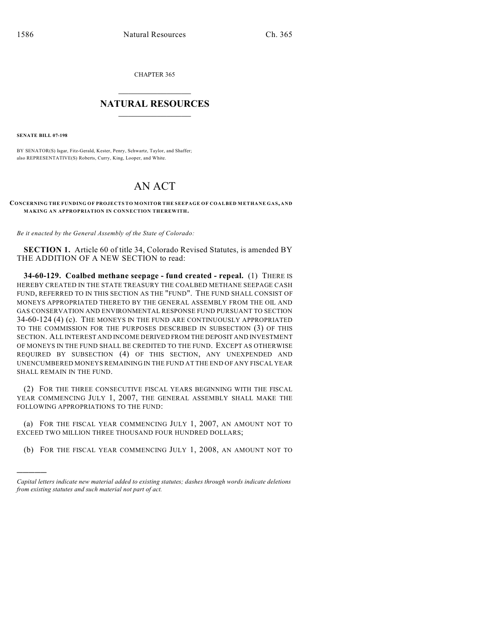CHAPTER 365

## $\overline{\phantom{a}}$  . The set of the set of the set of the set of the set of the set of the set of the set of the set of the set of the set of the set of the set of the set of the set of the set of the set of the set of the set o **NATURAL RESOURCES**  $\frac{1}{\sqrt{2}}$  , where  $\frac{1}{\sqrt{2}}$  ,  $\frac{1}{\sqrt{2}}$  ,  $\frac{1}{\sqrt{2}}$

**SENATE BILL 07-198**

)))))

BY SENATOR(S) Isgar, Fitz-Gerald, Kester, Penry, Schwartz, Taylor, and Shaffer; also REPRESENTATIVE(S) Roberts, Curry, King, Looper, and White.

## AN ACT

## **CONCERNING THE FUNDING OF PROJECTS TO MONITOR THE SEEPAGE OF COALBED METHANE GAS, AND MAKING AN APPROPRIATION IN CONNECTION THEREWITH.**

*Be it enacted by the General Assembly of the State of Colorado:*

**SECTION 1.** Article 60 of title 34, Colorado Revised Statutes, is amended BY THE ADDITION OF A NEW SECTION to read:

**34-60-129. Coalbed methane seepage - fund created - repeal.** (1) THERE IS HEREBY CREATED IN THE STATE TREASURY THE COALBED METHANE SEEPAGE CASH FUND, REFERRED TO IN THIS SECTION AS THE "FUND". THE FUND SHALL CONSIST OF MONEYS APPROPRIATED THERETO BY THE GENERAL ASSEMBLY FROM THE OIL AND GAS CONSERVATION AND ENVIRONMENTAL RESPONSE FUND PURSUANT TO SECTION 34-60-124 (4) (c). THE MONEYS IN THE FUND ARE CONTINUOUSLY APPROPRIATED TO THE COMMISSION FOR THE PURPOSES DESCRIBED IN SUBSECTION (3) OF THIS SECTION. ALL INTEREST AND INCOME DERIVED FROM THE DEPOSIT AND INVESTMENT OF MONEYS IN THE FUND SHALL BE CREDITED TO THE FUND. EXCEPT AS OTHERWISE REQUIRED BY SUBSECTION (4) OF THIS SECTION, ANY UNEXPENDED AND UNENCUMBERED MONEYS REMAINING IN THE FUND AT THE END OF ANY FISCAL YEAR SHALL REMAIN IN THE FUND.

(2) FOR THE THREE CONSECUTIVE FISCAL YEARS BEGINNING WITH THE FISCAL YEAR COMMENCING JULY 1, 2007, THE GENERAL ASSEMBLY SHALL MAKE THE FOLLOWING APPROPRIATIONS TO THE FUND:

(a) FOR THE FISCAL YEAR COMMENCING JULY 1, 2007, AN AMOUNT NOT TO EXCEED TWO MILLION THREE THOUSAND FOUR HUNDRED DOLLARS;

(b) FOR THE FISCAL YEAR COMMENCING JULY 1, 2008, AN AMOUNT NOT TO

*Capital letters indicate new material added to existing statutes; dashes through words indicate deletions from existing statutes and such material not part of act.*